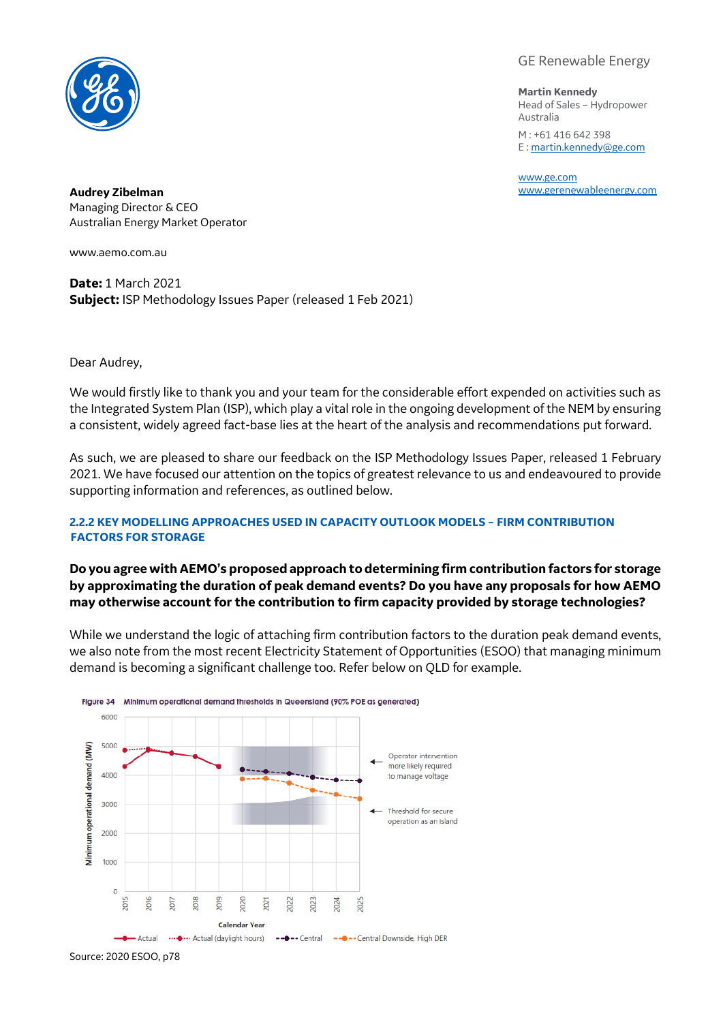

GE Renewable Energy

**Martin Kennedy** Head of Sales – Hydropower Australia M : +61 416 642 398 E [: martin.kennedy@ge.com](mailto:martin.kennedy@ge.com)

[www.ge.com](http://www.ge.com/)

**Audrey Zibelman** [www.gerenewableenergy.com](http://www.gerenewableenergy.com/) Managing Director & CEO Australian Energy Market Operator

[www.aemo.com.au](http://www.aemo.com.au/)

**Date:** 1 March 2021 **Subject:** ISP Methodology Issues Paper (released 1 Feb 2021)

Dear Audrey,

We would firstly like to thank you and your team for the considerable effort expended on activities such as the Integrated System Plan (ISP), which play a vital role in the ongoing development of the NEM by ensuring a consistent, widely agreed fact-base lies at the heart of the analysis and recommendations put forward.

As such, we are pleased to share our feedback on the ISP Methodology Issues Paper, released 1 February 2021. We have focused our attention on the topics of greatest relevance to us and endeavoured to provide supporting information and references, as outlined below.

## **2.2.2 KEY MODELLING APPROACHES USED IN CAPACITY OUTLOOK MODELS – FIRM CONTRIBUTION FACTORS FOR STORAGE**

# **Do you agree with AEMO's proposed approach to determining firm contribution factors for storage by approximating the duration of peak demand events? Do you have any proposals for how AEMO may otherwise account for the contribution to firm capacity provided by storage technologies?**

While we understand the logic of attaching firm contribution factors to the duration peak demand events, we also note from the most recent Electricity Statement of Opportunities (ESOO) that managing minimum demand is becoming a significant challenge too. Refer below on QLD for example.



Source: 2020 ESOO, p78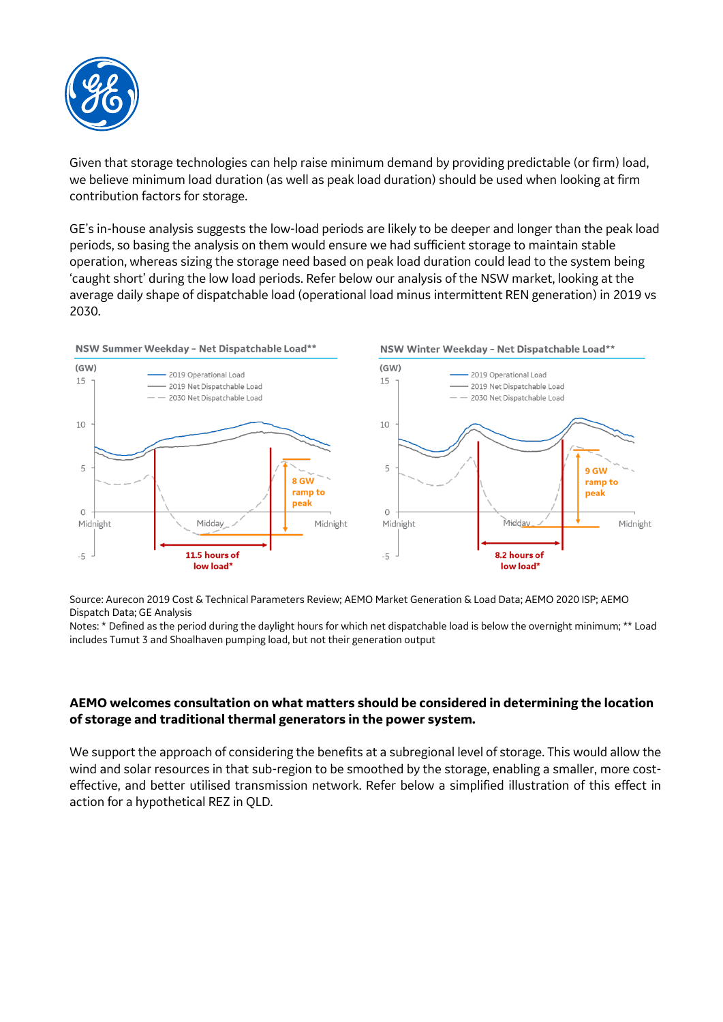

Given that storage technologies can help raise minimum demand by providing predictable (or firm) load, we believe minimum load duration (as well as peak load duration) should be used when looking at firm contribution factors for storage.

GE's in-house analysis suggests the low-load periods are likely to be deeper and longer than the peak load periods, so basing the analysis on them would ensure we had sufficient storage to maintain stable operation, whereas sizing the storage need based on peak load duration could lead to the system being 'caught short' during the low load periods. Refer below our analysis of the NSW market, looking at the average daily shape of dispatchable load (operational load minus intermittent REN generation) in 2019 vs 2030.



Source: Aurecon 2019 Cost & Technical Parameters Review; AEMO Market Generation & Load Data; AEMO 2020 ISP; AEMO Dispatch Data; GE Analysis

Notes: \* Defined as the period during the daylight hours for which net dispatchable load is below the overnight minimum; \*\* Load includes Tumut 3 and Shoalhaven pumping load, but not their generation output

## **AEMO welcomes consultation on what matters should be considered in determining the location of storage and traditional thermal generators in the power system.**

We support the approach of considering the benefits at a subregional level of storage. This would allow the wind and solar resources in that sub-region to be smoothed by the storage, enabling a smaller, more costeffective, and better utilised transmission network. Refer below a simplified illustration of this effect in action for a hypothetical REZ in QLD.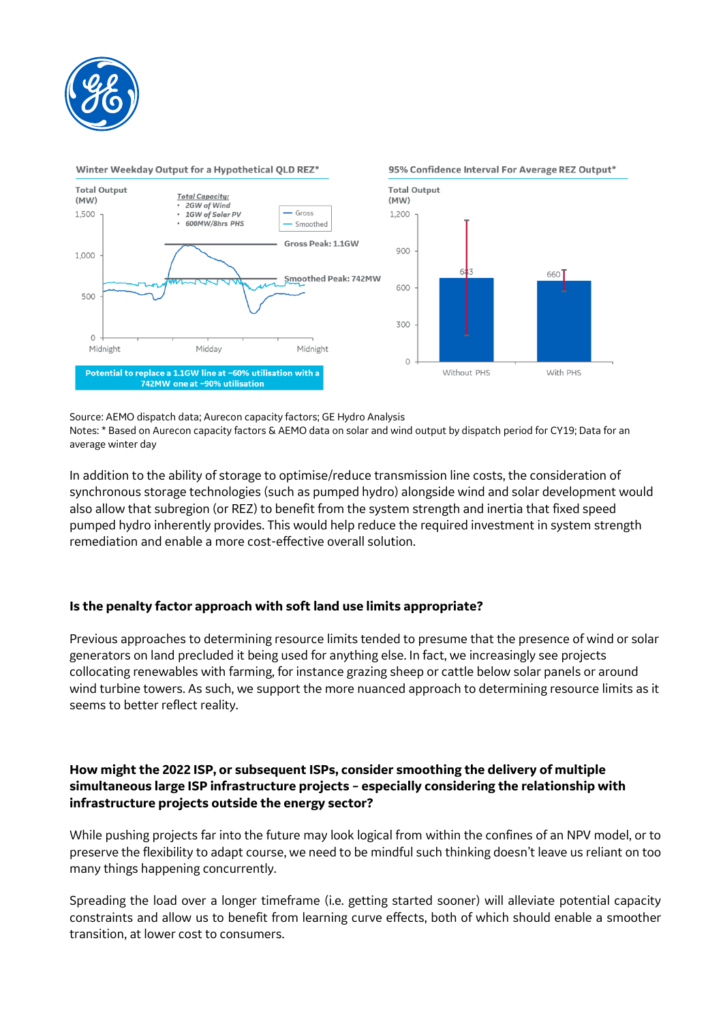



#### Source: AEMO dispatch data; Aurecon capacity factors; GE Hydro Analysis

Notes: \* Based on Aurecon capacity factors & AEMO data on solar and wind output by dispatch period for CY19; Data for an average winter day

In addition to the ability of storage to optimise/reduce transmission line costs, the consideration of synchronous storage technologies (such as pumped hydro) alongside wind and solar development would also allow that subregion (or REZ) to benefit from the system strength and inertia that fixed speed pumped hydro inherently provides. This would help reduce the required investment in system strength remediation and enable a more cost-effective overall solution.

## **Is the penalty factor approach with soft land use limits appropriate?**

Previous approaches to determining resource limits tended to presume that the presence of wind or solar generators on land precluded it being used for anything else. In fact, we increasingly see projects collocating renewables with farming, for instance grazing sheep or cattle below solar panels or around wind turbine towers. As such, we support the more nuanced approach to determining resource limits as it seems to better reflect reality.

# **How might the 2022 ISP, or subsequent ISPs, consider smoothing the delivery of multiple simultaneous large ISP infrastructure projects – especially considering the relationship with infrastructure projects outside the energy sector?**

While pushing projects far into the future may look logical from within the confines of an NPV model, or to preserve the flexibility to adapt course, we need to be mindful such thinking doesn't leave us reliant on too many things happening concurrently.

Spreading the load over a longer timeframe (i.e. getting started sooner) will alleviate potential capacity constraints and allow us to benefit from learning curve effects, both of which should enable a smoother transition, at lower cost to consumers.